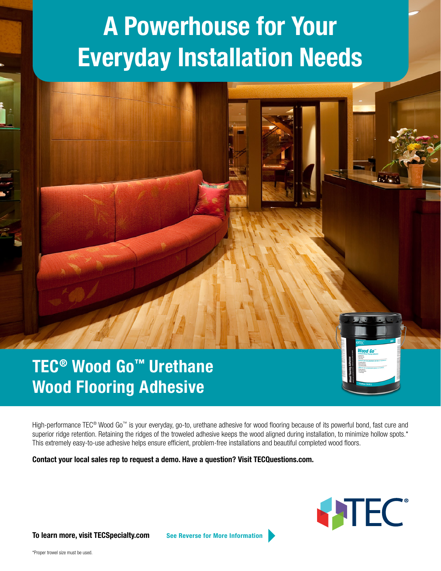### **A Powerhouse for Your Everyday Installation Needs**



# Wood Flooring Adhesive

High-performance TEC® Wood Go™ is your everyday, go-to, urethane adhesive for wood flooring because of its powerful bond, fast cure and superior ridge retention. Retaining the ridges of the troweled adhesive keeps the wood aligned during installation, to minimize hollow spots.\* This extremely easy-to-use adhesive helps ensure efficient, problem-free installations and beautiful completed wood floors.

Contact your local sales rep to request a demo. Have a question? Visit TECQuestions.com.



To learn more, visit TECSpecialty.com See Reverse for More Information